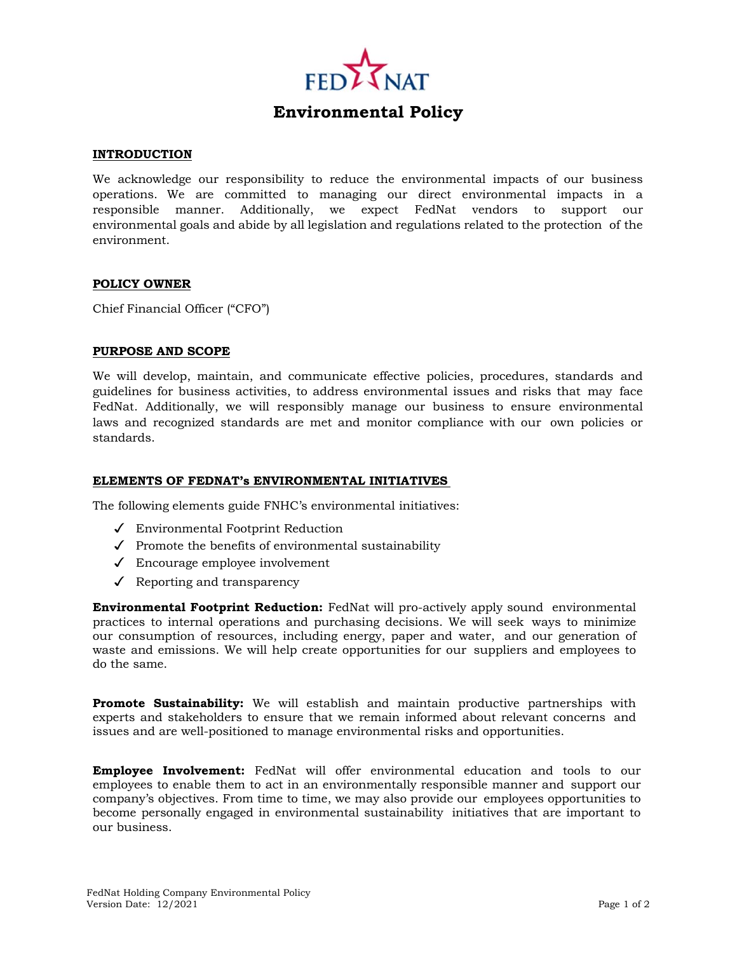

# **Environmental Policy**

## **INTRODUCTION**

We acknowledge our responsibility to reduce the environmental impacts of our business operations. We are committed to managing our direct environmental impacts in a responsible manner. Additionally, we expect FedNat vendors to support our environmental goals and abide by all legislation and regulations related to the protection of the environment.

#### **POLICY OWNER**

Chief Financial Officer ("CFO")

## **PURPOSE AND SCOPE**

We will develop, maintain, and communicate effective policies, procedures, standards and guidelines for business activities, to address environmental issues and risks that may face FedNat. Additionally, we will responsibly manage our business to ensure environmental laws and recognized standards are met and monitor compliance with our own policies or standards.

#### **ELEMENTS OF FEDNAT'S ENVIRONMENTAL INITIATIVES**

The following elements guide FNHC's environmental initiatives:

- ✓ Environmental Footprint Reduction
- ✓ Promote the benefits of environmental sustainability
- ✓ Encourage employee involvement
- $\checkmark$  Reporting and transparency

**Environmental Footprint Reduction:** FedNat will pro-actively apply sound environmental practices to internal operations and purchasing decisions. We will seek ways to minimize our consumption of resources, including energy, paper and water, and our generation of waste and emissions. We will help create opportunities for our suppliers and employees to do the same.

**Promote Sustainability:** We will establish and maintain productive partnerships with experts and stakeholders to ensure that we remain informed about relevant concerns and issues and are well-positioned to manage environmental risks and opportunities.

**Employee Involvement:** FedNat will offer environmental education and tools to our employees to enable them to act in an environmentally responsible manner and support our company's objectives. From time to time, we may also provide our employees opportunities to become personally engaged in environmental sustainability initiatives that are important to our business.